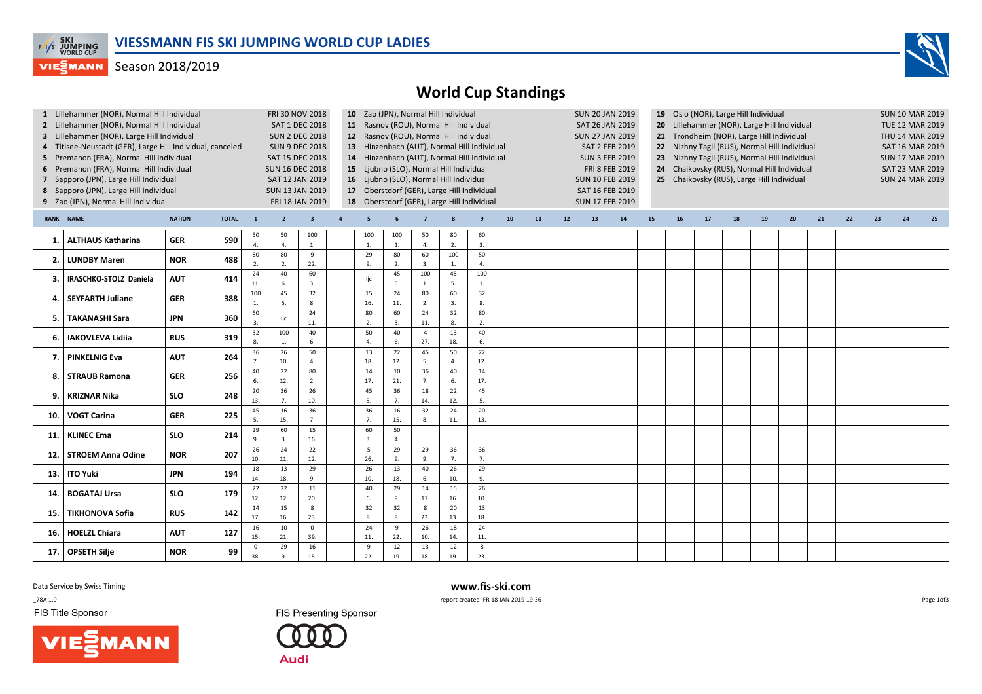

## **VIEGMANN** Season 2018/2019



|                                                   | 1 Lillehammer (NOR), Normal Hill Individual<br>2 Lillehammer (NOR), Normal Hill Individual<br>3 Lillehammer (NOR), Large Hill Individual<br>4 Titisee-Neustadt (GER), Large Hill Individual, canceled<br>5 Premanon (FRA), Normal Hill Individual<br>6 Premanon (FRA), Normal Hill Individual<br>7 Sapporo (JPN), Large Hill Individual<br>8 Sapporo (JPN), Large Hill Individual<br>9 Zao (JPN), Normal Hill Individual |            | <b>FRI 30 NOV 2018</b><br><b>SAT 1 DEC 2018</b><br><b>SUN 2 DEC 2018</b><br><b>SUN 9 DEC 2018</b><br>SAT 15 DEC 2018<br><b>SUN 16 DEC 2018</b><br>SAT 12 JAN 2019<br><b>SUN 13 JAN 2019</b><br>FRI 18 JAN 2019 |                        |                |                         |                | 10 Zao (JPN), Normal Hill Individual | 11 Rasnov (ROU), Normal Hill Individual<br>12 Rasnov (ROU), Normal Hill Individual<br>15 Ljubno (SLO), Normal Hill Individual<br>16 Ljubno (SLO), Normal Hill Individual | 13 Hinzenbach (AUT), Normal Hill Individual<br>14 Hinzenbach (AUT), Normal Hill Individual<br>17 Oberstdorf (GER), Large Hill Individual<br>18 Oberstdorf (GER), Large Hill Individual |           |                       |    |    | <b>SUN 20 JAN 2019</b><br>SAT 26 JAN 2019<br><b>SUN 27 JAN 2019</b><br><b>SAT 2 FEB 2019</b><br><b>SUN 3 FEB 2019</b><br>FRI 8 FEB 2019<br><b>SUN 10 FEB 2019</b><br>SAT 16 FEB 2019<br><b>SUN 17 FEB 2019</b> | 19 Oslo (NOR), Large Hill Individual<br>20 Lillehammer (NOR), Large Hill Individual<br>21 Trondheim (NOR), Large Hill Individual<br>22 Nizhny Tagil (RUS), Normal Hill Individual<br>23 Nizhny Tagil (RUS), Normal Hill Individual<br>24 Chaikovsky (RUS), Normal Hill Individual<br>25 Chaikovsky (RUS), Large Hill Individual |    |    |    |    |    |    |    |    | <b>SUN 10 MAR 2019</b><br>TUE 12 MAR 2019<br>THU 14 MAR 2019<br><b>SAT 16 MAR 2019</b><br><b>SUN 17 MAR 2019</b><br>SAT 23 MAR 2019<br><b>SUN 24 MAR 2019</b> |    |    |    |
|---------------------------------------------------|--------------------------------------------------------------------------------------------------------------------------------------------------------------------------------------------------------------------------------------------------------------------------------------------------------------------------------------------------------------------------------------------------------------------------|------------|----------------------------------------------------------------------------------------------------------------------------------------------------------------------------------------------------------------|------------------------|----------------|-------------------------|----------------|--------------------------------------|--------------------------------------------------------------------------------------------------------------------------------------------------------------------------|----------------------------------------------------------------------------------------------------------------------------------------------------------------------------------------|-----------|-----------------------|----|----|----------------------------------------------------------------------------------------------------------------------------------------------------------------------------------------------------------------|---------------------------------------------------------------------------------------------------------------------------------------------------------------------------------------------------------------------------------------------------------------------------------------------------------------------------------|----|----|----|----|----|----|----|----|---------------------------------------------------------------------------------------------------------------------------------------------------------------|----|----|----|
| <b>NATION</b><br><b>RANK NAME</b><br><b>TOTAL</b> |                                                                                                                                                                                                                                                                                                                                                                                                                          |            |                                                                                                                                                                                                                | $\mathbf{1}$           | $\overline{2}$ | $\overline{\mathbf{3}}$ | $\overline{a}$ | $\overline{5}$                       |                                                                                                                                                                          | $\overline{7}$                                                                                                                                                                         | 8         | 9                     | 10 | 11 | 12                                                                                                                                                                                                             | 13                                                                                                                                                                                                                                                                                                                              | 14 | 15 | 16 | 17 | 18 | 19 | 20 | 21 | 22                                                                                                                                                            | 23 | 24 | 25 |
| 1.                                                | <b>ALTHAUS Katharina</b>                                                                                                                                                                                                                                                                                                                                                                                                 | <b>GER</b> | 590                                                                                                                                                                                                            | 50<br>$\overline{4}$   | 50<br>$\Delta$ | 100<br>$\mathbf{1}$ .   |                | 100<br>1.                            | 100<br>$\overline{1}$                                                                                                                                                    | 50<br>4.                                                                                                                                                                               | 80<br>2.  | 60<br>3.              |    |    |                                                                                                                                                                                                                |                                                                                                                                                                                                                                                                                                                                 |    |    |    |    |    |    |    |    |                                                                                                                                                               |    |    |    |
| 2.                                                | <b>LUNDBY Maren</b>                                                                                                                                                                                                                                                                                                                                                                                                      | <b>NOR</b> | 488                                                                                                                                                                                                            | 80<br>2.               | 80<br>2.       | 9<br>22.                |                | 29<br>9.                             | 80<br>$\overline{2}$                                                                                                                                                     | 60<br>3.                                                                                                                                                                               | 100<br>1. | 50<br>$\overline{4}$  |    |    |                                                                                                                                                                                                                |                                                                                                                                                                                                                                                                                                                                 |    |    |    |    |    |    |    |    |                                                                                                                                                               |    |    |    |
|                                                   | IRASCHKO-STOLZ Daniela                                                                                                                                                                                                                                                                                                                                                                                                   | <b>AUT</b> | 414                                                                                                                                                                                                            | 24<br>11.              | 40<br>6        | 60<br>$\overline{3}$    |                | ijc                                  | 45<br>5                                                                                                                                                                  | 100<br>1.                                                                                                                                                                              | 45<br>5.  | 100<br>$\overline{1}$ |    |    |                                                                                                                                                                                                                |                                                                                                                                                                                                                                                                                                                                 |    |    |    |    |    |    |    |    |                                                                                                                                                               |    |    |    |
|                                                   | <b>SEYFARTH Juliane</b>                                                                                                                                                                                                                                                                                                                                                                                                  | <b>GER</b> | 388                                                                                                                                                                                                            | 100<br>1.              | 45<br>5.       | 32<br>8.                |                | 15<br>16.                            | 24<br>11.                                                                                                                                                                | 80<br>2.                                                                                                                                                                               | 60<br>3.  | 32<br>8               |    |    |                                                                                                                                                                                                                |                                                                                                                                                                                                                                                                                                                                 |    |    |    |    |    |    |    |    |                                                                                                                                                               |    |    |    |
| 5.                                                | <b>TAKANASHI Sara</b>                                                                                                                                                                                                                                                                                                                                                                                                    | <b>JPN</b> | 360                                                                                                                                                                                                            | 60<br>$\overline{3}$ . | ijc            | 24<br>11.               |                | 80<br>2.                             | 60<br>$\overline{3}$ .                                                                                                                                                   | 24<br>11.                                                                                                                                                                              | 32<br>8.  | 80<br>2.              |    |    |                                                                                                                                                                                                                |                                                                                                                                                                                                                                                                                                                                 |    |    |    |    |    |    |    |    |                                                                                                                                                               |    |    |    |
| 6.                                                | <b>IAKOVLEVA Lidiia</b>                                                                                                                                                                                                                                                                                                                                                                                                  | <b>RUS</b> | 319                                                                                                                                                                                                            | 32                     | 100            | 40<br>6.                |                | 50<br>$\Delta$                       | 40<br>6                                                                                                                                                                  | $\overline{4}$<br>27.                                                                                                                                                                  | 13<br>18. | 40<br>6               |    |    |                                                                                                                                                                                                                |                                                                                                                                                                                                                                                                                                                                 |    |    |    |    |    |    |    |    |                                                                                                                                                               |    |    |    |
| 7.                                                | <b>PINKELNIG Eva</b>                                                                                                                                                                                                                                                                                                                                                                                                     | <b>AUT</b> | 264                                                                                                                                                                                                            | 36<br>7.               | 26<br>10.      | 50<br>$\Delta$          |                | 13<br>18.                            | 22<br>12.                                                                                                                                                                | 45<br>5.                                                                                                                                                                               | 50<br>4.  | 22<br>12.             |    |    |                                                                                                                                                                                                                |                                                                                                                                                                                                                                                                                                                                 |    |    |    |    |    |    |    |    |                                                                                                                                                               |    |    |    |
| 8.                                                | <b>STRAUB Ramona</b>                                                                                                                                                                                                                                                                                                                                                                                                     | <b>GER</b> | 256                                                                                                                                                                                                            | 40                     | 22<br>12.      | 80<br>2.                |                | 14<br>17.                            | 10<br>21.                                                                                                                                                                | 36<br>7.                                                                                                                                                                               | 40<br>6.  | 14<br>17.             |    |    |                                                                                                                                                                                                                |                                                                                                                                                                                                                                                                                                                                 |    |    |    |    |    |    |    |    |                                                                                                                                                               |    |    |    |
| 9.                                                | <b>KRIZNAR Nika</b>                                                                                                                                                                                                                                                                                                                                                                                                      | <b>SLO</b> | 248                                                                                                                                                                                                            | 20<br>13.              | 36<br>7.       | 26<br>10.               |                | 45<br>5.                             | 36<br>7.                                                                                                                                                                 | 18<br>14.                                                                                                                                                                              | 22<br>12. | 45<br>5.              |    |    |                                                                                                                                                                                                                |                                                                                                                                                                                                                                                                                                                                 |    |    |    |    |    |    |    |    |                                                                                                                                                               |    |    |    |
| 10.                                               | <b>VOGT Carina</b>                                                                                                                                                                                                                                                                                                                                                                                                       | <b>GER</b> | 225                                                                                                                                                                                                            | 45<br>5.               | 16<br>15.      | 36<br>7.                |                | 36<br>7.                             | 16<br>15.                                                                                                                                                                | 32<br>8.                                                                                                                                                                               | 24<br>11. | 20<br>13.             |    |    |                                                                                                                                                                                                                |                                                                                                                                                                                                                                                                                                                                 |    |    |    |    |    |    |    |    |                                                                                                                                                               |    |    |    |
| 11.                                               | <b>KLINEC Ema</b>                                                                                                                                                                                                                                                                                                                                                                                                        | <b>SLO</b> | 214                                                                                                                                                                                                            | 29<br>9.               | 60<br>3        | 15<br>16.               |                | 60<br>3.                             | 50<br>$\overline{a}$                                                                                                                                                     |                                                                                                                                                                                        |           |                       |    |    |                                                                                                                                                                                                                |                                                                                                                                                                                                                                                                                                                                 |    |    |    |    |    |    |    |    |                                                                                                                                                               |    |    |    |
| 12.                                               | <b>STROEM Anna Odine</b>                                                                                                                                                                                                                                                                                                                                                                                                 | <b>NOR</b> | 207                                                                                                                                                                                                            | 26<br>10.              | 24<br>11.      | 22<br>12.               |                | 5<br>26.                             | 29<br>9.                                                                                                                                                                 | 29<br>9.                                                                                                                                                                               | 36<br>7.  | 36<br>7.              |    |    |                                                                                                                                                                                                                |                                                                                                                                                                                                                                                                                                                                 |    |    |    |    |    |    |    |    |                                                                                                                                                               |    |    |    |
| 13.                                               | <b>ITO Yuki</b>                                                                                                                                                                                                                                                                                                                                                                                                          | <b>JPN</b> | 194                                                                                                                                                                                                            | 18<br>14.              | 13<br>18.      | 29<br>9.                |                | 26<br>10.                            | 13<br>18.                                                                                                                                                                | 40<br>6.                                                                                                                                                                               | 26<br>10. | 29<br>$\overline{9}$  |    |    |                                                                                                                                                                                                                |                                                                                                                                                                                                                                                                                                                                 |    |    |    |    |    |    |    |    |                                                                                                                                                               |    |    |    |
| 14.                                               | <b>BOGATAJ Ursa</b>                                                                                                                                                                                                                                                                                                                                                                                                      | <b>SLO</b> | 179                                                                                                                                                                                                            | 22<br>12.              | 22<br>12.      | 11<br>20.               |                | 40<br>6.                             | 29<br>9.                                                                                                                                                                 | 14<br>17.                                                                                                                                                                              | 15<br>16. | 26<br>10.             |    |    |                                                                                                                                                                                                                |                                                                                                                                                                                                                                                                                                                                 |    |    |    |    |    |    |    |    |                                                                                                                                                               |    |    |    |
| 15.                                               | <b>TIKHONOVA Sofia</b>                                                                                                                                                                                                                                                                                                                                                                                                   | <b>RUS</b> | 142                                                                                                                                                                                                            | 14<br>17.              | 15<br>16.      | 8<br>23.                |                | 32<br>8.                             | 32<br>8                                                                                                                                                                  | 8<br>23.                                                                                                                                                                               | 20<br>13. | 13<br>18.             |    |    |                                                                                                                                                                                                                |                                                                                                                                                                                                                                                                                                                                 |    |    |    |    |    |    |    |    |                                                                                                                                                               |    |    |    |
| 16.                                               | <b>HOELZL Chiara</b>                                                                                                                                                                                                                                                                                                                                                                                                     | <b>AUT</b> | 127                                                                                                                                                                                                            | 16<br>15.              | 10<br>21.      | $\mathsf 0$<br>39.      |                | 24<br>11.                            | 9<br>22.                                                                                                                                                                 | 26<br>10.                                                                                                                                                                              | 18<br>14. | 24<br>11.             |    |    |                                                                                                                                                                                                                |                                                                                                                                                                                                                                                                                                                                 |    |    |    |    |    |    |    |    |                                                                                                                                                               |    |    |    |
| 17.                                               | <b>OPSETH Silie</b>                                                                                                                                                                                                                                                                                                                                                                                                      | <b>NOR</b> | 99                                                                                                                                                                                                             | $\mathbf 0$<br>38.     | 29<br>9.       | 16<br>15.               |                | 9<br>22.                             | 12<br>19.                                                                                                                                                                | 13<br>18.                                                                                                                                                                              | 12<br>19. | 8<br>23.              |    |    |                                                                                                                                                                                                                |                                                                                                                                                                                                                                                                                                                                 |    |    |    |    |    |    |    |    |                                                                                                                                                               |    |    |    |
|                                                   |                                                                                                                                                                                                                                                                                                                                                                                                                          |            |                                                                                                                                                                                                                |                        |                |                         |                |                                      |                                                                                                                                                                          |                                                                                                                                                                                        |           |                       |    |    |                                                                                                                                                                                                                |                                                                                                                                                                                                                                                                                                                                 |    |    |    |    |    |    |    |    |                                                                                                                                                               |    |    |    |

Data Service by Swiss Timing

 $-78A 1.0$ 

FIS Title Sponsor





 www.fis-ski.comreport created FR 18 JAN 2019 19:36

Page 1of3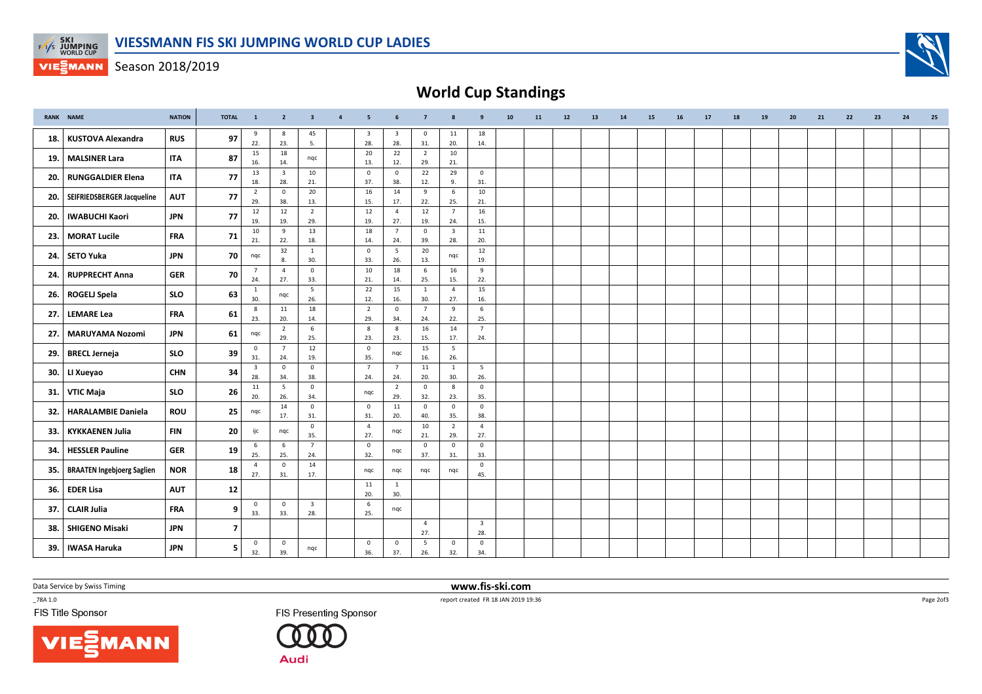

**VIESMANN** Season 2018/2019



|     | <b>RANK NAME</b>                  | <b>NATION</b> | <b>TOTAL</b>            | $\mathbf{1}$                   | $\overline{2}$                 | $\overline{\mathbf{3}}$        | $\overline{a}$ | 5                              |                                | $\overline{7}$        | 8                              | 9                              | 10 <sub>1</sub> | 11 | 12 | 13 | 14 | 15 | 16 | 17 | 18 | 19 | 20 | 21 | 22 | 23 | 24 | 25 |
|-----|-----------------------------------|---------------|-------------------------|--------------------------------|--------------------------------|--------------------------------|----------------|--------------------------------|--------------------------------|-----------------------|--------------------------------|--------------------------------|-----------------|----|----|----|----|----|----|----|----|----|----|----|----|----|----|----|
| 18. | <b>KUSTOVA Alexandra</b>          | <b>RUS</b>    | 97                      | 9<br>22.                       | 8<br>23.                       | 45<br>5.                       |                | $\overline{\mathbf{3}}$<br>28. | $\overline{\mathbf{3}}$<br>28. | $\mathbf 0$<br>31.    | 11<br>20.                      | 18<br>14.                      |                 |    |    |    |    |    |    |    |    |    |    |    |    |    |    |    |
| 19. | <b>MALSINER Lara</b>              | <b>ITA</b>    | 87                      | 15<br>16.                      | 18<br>14.                      | ngc                            |                | 20<br>13.                      | 22<br>12.                      | $\overline{2}$<br>29. | 10<br>21.                      |                                |                 |    |    |    |    |    |    |    |    |    |    |    |    |    |    |    |
| 20. | <b>RUNGGALDIER Elena</b>          | <b>ITA</b>    | 77                      | 13<br>18.                      | $\overline{\mathbf{3}}$<br>28. | 10<br>21.                      |                | $\mathsf 0$<br>37.             | $\mathsf{O}\xspace$<br>38.     | 22<br>12.             | 29<br>9.                       | $\mathsf 0$<br>31.             |                 |    |    |    |    |    |    |    |    |    |    |    |    |    |    |    |
| 20. | SEIFRIEDSBERGER Jacqueline        | <b>AUT</b>    | 77                      | $\overline{2}$<br>29.          | $\mathsf 0$<br>38.             | 20<br>13.                      |                | 16<br>15.                      | 14<br>17.                      | 9<br>22.              | $\,$ 6 $\,$<br>25.             | 10<br>21.                      |                 |    |    |    |    |    |    |    |    |    |    |    |    |    |    |    |
| 20. | <b>IWABUCHI Kaori</b>             | <b>JPN</b>    | 77                      | 12<br>19.                      | 12<br>19.                      | $\overline{2}$<br>29.          |                | 12<br>19.                      | $\overline{4}$<br>27.          | 12<br>19.             | $\overline{7}$<br>24.          | 16<br>15.                      |                 |    |    |    |    |    |    |    |    |    |    |    |    |    |    |    |
| 23. | <b>MORAT Lucile</b>               | <b>FRA</b>    | 71                      | 10<br>21.                      | 9<br>22.                       | 13<br>18.                      |                | 18<br>14.                      | $\overline{7}$<br>24.          | $\mathsf 0$<br>39.    | $\overline{\mathbf{3}}$<br>28. | 11<br>20.                      |                 |    |    |    |    |    |    |    |    |    |    |    |    |    |    |    |
| 24. | <b>SETO Yuka</b>                  | <b>JPN</b>    | 70                      | nqc                            | 32                             | $\mathbf{1}$                   |                | $\overline{0}$                 | $5\phantom{.0}$                | 20                    | nqc                            | 12                             |                 |    |    |    |    |    |    |    |    |    |    |    |    |    |    |    |
| 24. | <b>RUPPRECHT Anna</b>             | <b>GER</b>    | 70                      | $7\overline{ }$                | 8.<br>$\overline{4}$           | 30.<br>$\mathbf 0$             |                | 33.<br>10                      | 26.<br>18                      | 13.<br>6              | 16                             | 19.<br>9                       |                 |    |    |    |    |    |    |    |    |    |    |    |    |    |    |    |
| 26. | <b>ROGELJ Spela</b>               | <b>SLO</b>    | 63                      | 24.<br>$\mathbf{1}$            | 27.<br>nqc                     | 33.<br>5                       |                | 21.<br>22                      | 14.<br>15                      | 25.<br>$\mathbf{1}$   | 15.<br>$\overline{4}$          | 22.<br>15                      |                 |    |    |    |    |    |    |    |    |    |    |    |    |    |    |    |
| 27. | <b>LEMARE Lea</b>                 | <b>FRA</b>    | 61                      | 30.<br>8                       | 11                             | 26.<br>18                      |                | 12.<br>$\overline{2}$          | 16.<br>$\mathbf 0$             | 30.<br>$\overline{7}$ | 27.<br>9                       | 16.<br>6                       |                 |    |    |    |    |    |    |    |    |    |    |    |    |    |    |    |
| 27. | <b>MARUYAMA Nozomi</b>            | <b>JPN</b>    | 61                      | 23.                            | 20.<br>$\overline{2}$          | 14.<br>6                       |                | 29.<br>8                       | 34.<br>8                       | 24.<br>16             | 22.<br>14                      | 25.<br>$\overline{7}$          |                 |    |    |    |    |    |    |    |    |    |    |    |    |    |    |    |
|     |                                   |               |                         | nqc<br>$\mathbf 0$             | 29.<br>$\overline{7}$          | 25.<br>12                      |                | 23.<br>$\mathbf 0$             | 23.                            | 15.<br>15             | 17.<br>5                       | 24.                            |                 |    |    |    |    |    |    |    |    |    |    |    |    |    |    |    |
| 29. | <b>BRECL Jerneja</b>              | <b>SLO</b>    | 39                      | 31.<br>$\overline{\mathbf{3}}$ | 24.<br>$\mathbf{0}$            | 19.<br>$\mathbf{0}$            |                | 35.<br>$\overline{7}$          | nqc<br>$\overline{7}$          | 16.<br>11             | 26.<br>1                       | 5                              |                 |    |    |    |    |    |    |    |    |    |    |    |    |    |    |    |
| 30. | LI Xueyao                         | <b>CHN</b>    | 34                      | 28.<br>11                      | 34.<br>5                       | 38.<br>$\mathbf 0$             |                | 24.                            | 24.<br>$\overline{2}$          | 20.<br>$\mathbf 0$    | 30.<br>8                       | 26.<br>$\mathbf{0}$            |                 |    |    |    |    |    |    |    |    |    |    |    |    |    |    |    |
| 31. | VTIC Maja                         | <b>SLO</b>    | 26                      | 20.                            | 26.<br>14                      | 34.<br>$\mathbf 0$             |                | ngc<br>$\mathbf 0$             | 29.<br>11                      | 32.<br>$\mathbf 0$    | 23.<br>$\overline{0}$          | 35.<br>$\overline{\mathbf{0}}$ |                 |    |    |    |    |    |    |    |    |    |    |    |    |    |    |    |
| 32. | <b>HARALAMBIE Daniela</b>         | <b>ROU</b>    | 25                      | nqc                            | 17.                            | 31.<br>$\mathsf 0$             |                | 31.<br>$\overline{4}$          | 20.                            | 40.<br>10             | 35.<br>$\overline{2}$          | 38.<br>$\overline{4}$          |                 |    |    |    |    |    |    |    |    |    |    |    |    |    |    |    |
| 33. | <b>KYKKAENEN Julia</b>            | <b>FIN</b>    | 20                      | ijc                            | nqc                            | 35.<br>$\overline{7}$          |                | 27.                            | ngc                            | 21.                   | 29.                            | 27.                            |                 |    |    |    |    |    |    |    |    |    |    |    |    |    |    |    |
| 34. | <b>HESSLER Pauline</b>            | <b>GER</b>    | 19                      | 6<br>25.                       | 6<br>25.                       | 24.                            |                | $\mathsf 0$<br>32.             | nqc                            | $\circ$<br>37.        | $\mathsf 0$<br>31.             | $\overline{\mathbf{0}}$<br>33. |                 |    |    |    |    |    |    |    |    |    |    |    |    |    |    |    |
| 35. | <b>BRAATEN Ingebjoerg Saglien</b> | <b>NOR</b>    | 18                      | $\overline{4}$<br>27.          | $\mathbf 0$<br>31.             | 14<br>17.                      |                | ngc                            | ngc                            | ngc                   | ngc                            | $\overline{\mathbf{0}}$<br>45. |                 |    |    |    |    |    |    |    |    |    |    |    |    |    |    |    |
| 36. | <b>EDER Lisa</b>                  | <b>AUT</b>    | $12$                    |                                |                                |                                |                | 11<br>20.                      | $\mathbf{1}$<br>30.            |                       |                                |                                |                 |    |    |    |    |    |    |    |    |    |    |    |    |    |    |    |
| 37. | <b>CLAIR Julia</b>                | <b>FRA</b>    | 9                       | $\mathbf 0$<br>33.             | $\mathbf 0$<br>33.             | $\overline{\mathbf{3}}$<br>28. |                | 6<br>25.                       | nqc                            |                       |                                |                                |                 |    |    |    |    |    |    |    |    |    |    |    |    |    |    |    |
| 38. | <b>SHIGENO Misaki</b>             | <b>JPN</b>    | $\overline{\mathbf{z}}$ |                                |                                |                                |                |                                |                                | $\overline{4}$<br>27. |                                | $\overline{\mathbf{3}}$<br>28. |                 |    |    |    |    |    |    |    |    |    |    |    |    |    |    |    |
| 39. | <b>IWASA Haruka</b>               | <b>JPN</b>    | 5                       | $\mathbf 0$<br>32.             | $\mathbf 0$<br>39.             | ngc                            |                | $\circ$<br>36.                 | $\mathbf 0$<br>37.             | 5<br>26.              | $\mathbf{0}$<br>32.            | $\mathbf{0}$<br>34.            |                 |    |    |    |    |    |    |    |    |    |    |    |    |    |    |    |

Data Service by Swiss Timing

 $-78A 1.0$ 

FIS Title Sponsor





 www.fis-ski.comreport created FR 18 JAN 2019 19:36

Page 2of3